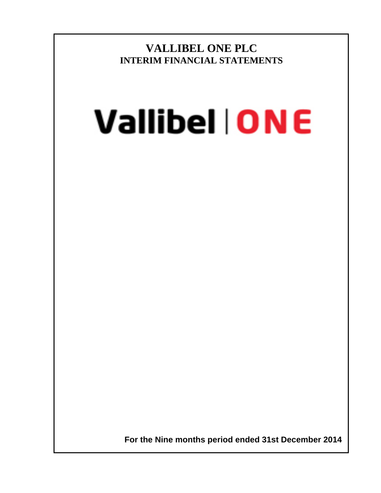**VALLIBEL ONE PLC INTERIM FINANCIAL STATEMENTS**

# Vallibel | ONE

 **For the Nine months period ended 31st December 2014**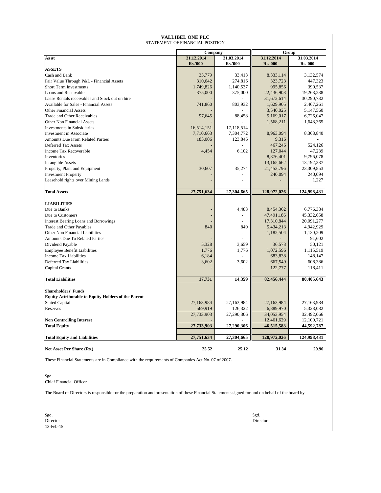| <b>VALLIBEL ONE PLC</b><br>STATEMENT OF FINANCIAL POSITION                                          |                          |                |                     |                |  |  |  |  |  |
|-----------------------------------------------------------------------------------------------------|--------------------------|----------------|---------------------|----------------|--|--|--|--|--|
|                                                                                                     |                          |                |                     |                |  |  |  |  |  |
| As at                                                                                               | Company<br>31.12.2014    | 31.03.2014     | Group<br>31.12.2014 | 31.03.2014     |  |  |  |  |  |
|                                                                                                     | <b>Rs.'000</b>           | <b>Rs.'000</b> | <b>Rs.'000</b>      | <b>Rs.'000</b> |  |  |  |  |  |
| <b>ASSETS</b>                                                                                       |                          |                |                     |                |  |  |  |  |  |
| Cash and Bank                                                                                       | 33,779                   | 33,413         | 8,333,114           | 3,132,574      |  |  |  |  |  |
| Fair Value Through P&L - Financial Assets                                                           | 310,642                  | 274,816        | 323,723             | 447,323        |  |  |  |  |  |
| <b>Short Term Investments</b>                                                                       | 1,749,826                | 1,140,537      | 995,856             | 390,537        |  |  |  |  |  |
| Loans and Receivable                                                                                | 375,000                  | 375,000        | 22,436,908          | 19,268,238     |  |  |  |  |  |
| Lease Rentals receivables and Stock out on hire                                                     |                          |                | 31,672,614          | 30,290,732     |  |  |  |  |  |
| <b>Available for Sales - Financial Assets</b>                                                       | 741,860                  | 803,932        | 1,629,905           | 2,467,261      |  |  |  |  |  |
| <b>Other Financial Assets</b>                                                                       |                          |                | 3,540,025           | 5,147,560      |  |  |  |  |  |
| <b>Trade and Other Receivables</b>                                                                  | 97,645                   | 88,458         | 5,169,017           | 6,726,047      |  |  |  |  |  |
| <b>Other Non Financial Assets</b>                                                                   |                          |                | 1,568,211           | 1,648,365      |  |  |  |  |  |
| <b>Investments in Subsidiaries</b>                                                                  | 16,514,151               | 17,118,514     |                     |                |  |  |  |  |  |
| Investment in Associate                                                                             | 7,710,663                | 7,304,772      | 8,963,094           | 8,368,840      |  |  |  |  |  |
| <b>Amounts Due From Related Parties</b>                                                             | 183,006                  | 123,846        | 9,316               |                |  |  |  |  |  |
| <b>Deferred Tax Assets</b>                                                                          |                          |                | 467,246             | 524,126        |  |  |  |  |  |
| Income Tax Recoverable                                                                              | 4,454                    | 6,102          | 127,044             | 47,239         |  |  |  |  |  |
| Inventories                                                                                         |                          |                | 8,876,401           | 9,796,078      |  |  |  |  |  |
| <b>Intangible Assets</b>                                                                            |                          |                | 13,165,662          | 13,192,337     |  |  |  |  |  |
| Property, Plant and Equipment                                                                       | 30,607                   | 35,274         | 21,453,796          | 23,309,853     |  |  |  |  |  |
| <b>Investment Property</b>                                                                          |                          |                | 240,094             | 240,094        |  |  |  |  |  |
| Leasehold rights over Mining Lands                                                                  | $\overline{\phantom{a}}$ |                |                     | 1,227          |  |  |  |  |  |
|                                                                                                     |                          |                |                     |                |  |  |  |  |  |
| <b>Total Assets</b>                                                                                 | 27,751,634               | 27,304,665     | 128,972,026         | 124,998,431    |  |  |  |  |  |
|                                                                                                     |                          |                |                     |                |  |  |  |  |  |
| <b>LIABILITIES</b>                                                                                  |                          |                |                     |                |  |  |  |  |  |
| Due to Banks                                                                                        |                          | 4,483          | 8,454,362           | 6,776,384      |  |  |  |  |  |
| Due to Customers                                                                                    |                          |                | 47,491,186          | 45,332,658     |  |  |  |  |  |
| <b>Interest Bearing Loans and Borrowings</b>                                                        |                          |                | 17,310,844          | 20,091,277     |  |  |  |  |  |
| Trade and Other Payables                                                                            | 840                      | 840            | 5,434,213           | 4,942,929      |  |  |  |  |  |
| Other Non Financial Liabilities                                                                     |                          |                | 1,182,504           | 1,130,209      |  |  |  |  |  |
| Amounts Due To Related Parties                                                                      |                          |                |                     | 91,602         |  |  |  |  |  |
| Dividend Payable                                                                                    | 5,328                    | 3,659          | 36,573              | 50,121         |  |  |  |  |  |
| <b>Employee Benefit Liabilities</b>                                                                 | 1,776                    | 1,776          | 1,072,596           | 1,115,519      |  |  |  |  |  |
| <b>Income Tax Liabilities</b>                                                                       | 6,184                    |                | 683,838             | 148,147        |  |  |  |  |  |
| Deferred Tax Liabilities                                                                            | 3,602                    | 3,602          | 667,549             | 608,386        |  |  |  |  |  |
| Capital Grants                                                                                      |                          |                | 122,777             | 118,411        |  |  |  |  |  |
| <b>Total Liabilities</b>                                                                            | 17,731                   | 14,359         | 82,456,444          | 80,405,643     |  |  |  |  |  |
|                                                                                                     |                          |                |                     |                |  |  |  |  |  |
| <b>Shareholders' Funds</b>                                                                          |                          |                |                     |                |  |  |  |  |  |
| <b>Equity Attributable to Equity Holders of the Parent</b>                                          |                          |                |                     |                |  |  |  |  |  |
| <b>Stated Capital</b>                                                                               | 27,163,984               | 27,163,984     | 27,163,984          | 27,163,984     |  |  |  |  |  |
| Reserves                                                                                            | 569,919                  | 126,322        | 6,889,970           | 5,328,082      |  |  |  |  |  |
|                                                                                                     | 27,733,903               | 27,290,306     | 34,053,954          | 32,492,066     |  |  |  |  |  |
| <b>Non Controlling Interest</b>                                                                     |                          |                | 12,461,629          | 12,100,721     |  |  |  |  |  |
| <b>Total Equity</b>                                                                                 | 27,733,903               | 27,290,306     | 46,515,583          | 44,592,787     |  |  |  |  |  |
| <b>Total Equity and Liabilities</b>                                                                 | 27,751,634               | 27,304,665     | 128,972,026         | 124,998,431    |  |  |  |  |  |
| Net Asset Per Share (Rs.)                                                                           | 25.52                    | 25.12          | 31.34               | 29.90          |  |  |  |  |  |
| These Financial Statements are in Compliance with the requirements of Companies Act No. 07 of 2007. |                          |                |                     |                |  |  |  |  |  |

Sgd. Chief Financial Officer

The Board of Directors is responsible for the preparation and presentation of these Financial Statements signed for and on behalf of the board by.

| Sgd.      | Sgd.     |
|-----------|----------|
| Director  | Director |
| 13-Feb-15 |          |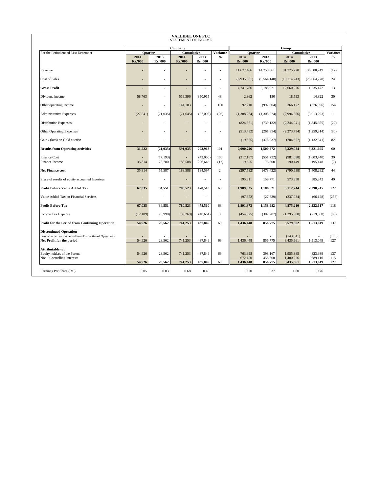|                                                                                             |                          |                          | <b>VALLIBEL ONE PLC</b><br>STATEMENT OF INCOME |                        |                          |                        |                        |                        |                        |                 |
|---------------------------------------------------------------------------------------------|--------------------------|--------------------------|------------------------------------------------|------------------------|--------------------------|------------------------|------------------------|------------------------|------------------------|-----------------|
|                                                                                             | Company                  |                          |                                                |                        |                          |                        |                        | Group                  |                        |                 |
| For the Period ended 31st December                                                          | <b>Ouarter</b>           |                          | <b>Cumulative</b>                              |                        | <b>Variance</b>          | <b>Ouarter</b>         |                        |                        | Cumulative             | <b>Variance</b> |
|                                                                                             | 2014<br><b>Rs.'000</b>   | 2013<br><b>Rs.'000</b>   | 2014<br><b>Rs.'000</b>                         | 2013<br><b>Rs.'000</b> | $\frac{0}{\alpha}$       | 2014<br><b>Rs.'000</b> | 2013<br><b>Rs.'000</b> | 2014<br><b>Rs.'000</b> | 2013<br><b>Rs.'000</b> | $\frac{0}{0}$   |
| Revenue                                                                                     |                          | $\overline{a}$           |                                                |                        | $\overline{a}$           | 11,677,466             | 14,750,061             | 31,775,220             | 36,300,249             | (12)            |
| Cost of Sales                                                                               | Ē,                       | $\sim$                   |                                                | ٠                      | $\sim$                   | (6,935,681)            | (9,564,140)            | (19, 114, 243)         | (25,064,778)           | 24              |
| <b>Gross Profit</b>                                                                         | ÷,                       | ä,                       |                                                | $\sim$                 | $\sim$                   | 4,741,786              | 5,185,921              | 12,660,976             | 11,235,472             | 13              |
| Dividend income                                                                             | 58,763                   | ä,                       | 519,396                                        | 350,915                | 48                       | 2,362                  | 150                    | 18,593                 | 14,322                 | 30              |
| Other operating income                                                                      | $\overline{\phantom{a}}$ | $\sim$                   | 144,183                                        | ÷.                     | 100                      | 92,210                 | (997, 604)             | 366,172                | (676, 596)             | 154             |
| <b>Administrative Expenses</b>                                                              | (27, 541)                | (21,035)                 | (71, 645)                                      | (57,002)               | (26)                     | (1,388,264)            | (1,308,274)            | (2,994,386)            | (3,013,293)            | $\mathbf{1}$    |
| <b>Distribution Expenses</b>                                                                |                          |                          |                                                |                        |                          | (824, 361)             | (739, 132)             | (2,244,041)            | (1,845,655)            | (22)            |
| <b>Other Operating Expenses</b>                                                             |                          | $\sim$                   |                                                |                        | $\sim$                   | (513, 432)             | (261, 854)             | (2,273,734)            | (1,259,914)            | (80)            |
| Gain / (loss) on Gold auction                                                               |                          | ä,                       |                                                |                        |                          | (19, 555)              | (378, 937)             | (204, 557)             | (1,132,641)            | 82              |
| <b>Results from Operating activities</b>                                                    | 31,222                   | (21, 035)                | 591,935                                        | 293,913                | 101                      | 2,090,746              | 1,500,272              | 5,329,024              | 3,321,695              | 60              |
| <b>Finance Cost</b><br>Finance Income                                                       | 35,814                   | (17, 193)<br>72,780      | 188,588                                        | (42,050)<br>226,646    | 100<br>(17)              | (317, 187)<br>19,655   | (551, 722)<br>78,300   | (981,088)<br>190,449   | (1,603,440)<br>195,148 | 39<br>(2)       |
| <b>Net Finance cost</b>                                                                     | 35,814                   | 55,587                   | 188,588                                        | 184,597                | $\overline{c}$           | (297, 532)             | (473, 422)             | (790, 638)             | (1,408,292)            | 44              |
| Share of results of equity accounted Investees                                              |                          | $\overline{\phantom{a}}$ |                                                | $\ddot{\phantom{1}}$   | $\overline{\phantom{a}}$ | 195.811                | 159,771                | 573.858                | 385,342                | 49              |
| <b>Profit Before Value Added Tax</b>                                                        | 67,035                   | 34,551                   | 780,523                                        | 478,510                | 63                       | 1,989,025              | 1,186,621              | 5,112,244              | 2,298,745              | 122             |
| Value Added Tax on Financial Services                                                       |                          | ä,                       |                                                |                        | ÷,                       | (97, 652)              | (27, 639)              | (237,034)              | (66, 128)              | (258)           |
| <b>Profit Before Tax</b>                                                                    | 67,035                   | 34,551                   | 780,523                                        | 478,510                | 63                       | 1,891,373              | 1,158,982              | 4,875,210              | 2,232,617              | 118             |
| Income Tax Expense                                                                          | (12,109)                 | (5,990)                  | (39, 269)                                      | (40, 661)              | 3                        | (454, 925)             | (302, 207)             | (1,295,908)            | (719, 568)             | (80)            |
| Profit for the Period from Continuing Operation                                             | 54.926                   | 28,562                   | 741,253                                        | 437,849                | 69                       | 1.436.448              | 856,775                | 3,579,302              | 1,513,049              | 137             |
| <b>Discontinued Operation</b><br>Loss after tax for the period from Discontinued Operations |                          |                          |                                                |                        |                          |                        |                        | (143, 641)             |                        | (100)           |
| Net Profit for the period                                                                   | 54,926                   | 28,562                   | 741,253                                        | 437,849                | 69                       | 1,436,448              | 856,775                | 3,435,661              | 1,513,049              | 127             |
| Attributable to:<br>Equity holders of the Parent<br>Non - Controlling Interests             | 54,926                   | 28,562                   | 741,253                                        | 437,849                | 69                       | 763,998<br>672,450     | 398,167<br>458,608     | 1,955,385<br>1,480,276 | 823,939<br>689,110     | 137<br>115      |
|                                                                                             | 54.926                   | 28,562                   | 741,253                                        | 437,849                | 69                       | 1,436,448              | 856,775                | 3,435,661              | 1,513,049              | 127             |
| Earnings Per Share (Rs.)                                                                    | 0.05                     | 0.03                     | 0.68                                           | 0.40                   |                          | 0.70                   | 0.37                   | 1.80                   | 0.76                   |                 |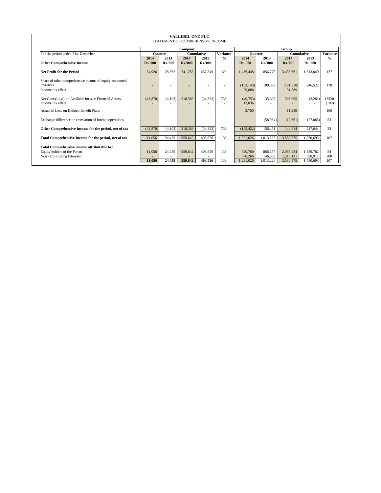| <b>VALLIBEL ONE PLC</b><br>STATEMENT OF COMREHENSIVE INCOME                                                |                        |                               |                        |                                                      |                          |                                |                                 |                                     |                                   |                  |
|------------------------------------------------------------------------------------------------------------|------------------------|-------------------------------|------------------------|------------------------------------------------------|--------------------------|--------------------------------|---------------------------------|-------------------------------------|-----------------------------------|------------------|
|                                                                                                            |                        |                               | Company                |                                                      |                          | Group                          |                                 |                                     |                                   |                  |
| For the period ended 31st December                                                                         |                        | <b>Ouarter</b>                |                        | <b>Cumulative</b>                                    | <b>Variance</b>          |                                | <b>Ouarter</b>                  | <b>Cumulative</b>                   |                                   | <b>Variance</b>  |
| <b>Other Comprehensive Income</b>                                                                          | 2014<br><b>Rs.'000</b> | 2013<br><b>Rs.'000</b>        | 2014<br><b>Rs.'000</b> | 2013<br><b>Rs.'000</b>                               | $\frac{6}{6}$            | 2014<br><b>Rs.'000</b>         | 2013<br><b>Rs.'000</b>          | 2014<br><b>Rs.'000</b>              | 2013<br><b>Rs.'000</b>            | $\frac{6}{6}$    |
| Net Profit for the Period                                                                                  | 54,926                 | 28,562                        | 741.253                | 437,849                                              | 69                       | 1,436,448                      | 856,775                         | 3,435,661                           | 1,513,049                         | 127              |
| Share of other comprehensive income of equity accounted<br>investees<br>Income tax effect                  | ٠<br>۰                 | ٠<br>$\overline{\phantom{a}}$ | ٠<br>۰                 | $\overline{\phantom{a}}$<br>$\overline{\phantom{a}}$ |                          | (152, 143)<br>29,888           | 180,099                         | (191, 358)<br>31,589                | 246,522                           | 178              |
| Net Gain/(Loss) on Available for sale Financial Assets<br>Income tax effect                                | (43,870)               | (4, 103)                      | 218.389                | (34, 323)                                            | 736                      | (40,753)<br>13,836             | 35,307                          | 306,095                             | (2,281)                           | 13520<br>(100)   |
| Actuarial Loss on Defined Benefit Plans                                                                    | ٠                      | ٠                             | ۰                      | $\overline{\phantom{a}}$                             |                          | 3,750                          |                                 | 11,249                              | $\overline{\phantom{a}}$          | 100              |
| Exchange difference on translation of foreign operations                                                   | ٠                      | $\overline{\phantom{a}}$      | ٠                      | $\overline{\phantom{a}}$                             | $\overline{\phantom{a}}$ | $\overline{\phantom{a}}$       | (58, 954)                       | (12,661)                            | (27,085)                          | 53               |
| Other Comprehensive Income for the period, net of tax                                                      | (43, 870)              | (4, 103)                      | 218,389                | (34, 323)                                            | 736                      | (145, 422)                     | 156,451                         | 144,914                             | 217,644                           | 33               |
| Total Comprehensive Income for the period, net of tax                                                      | 11,056                 | 24,459                        | 959,642                | 403,526                                              | 138                      | 1,291,026                      | 1,013,226                       | 3,580,575                           | 1,730,693                         | 107              |
| Total Comprehensive income attributable to:<br>Equity holders of the Parent<br>Non - Controlling Interests | 11.056<br>11,056       | 24,459<br>24,459              | 959,642<br>959,642     | 403,526<br>403,526                                   | 138<br>138               | 620,760<br>670,266<br>,291,026 | 866,357<br>146,869<br>1,013,226 | 2,065,454<br>1,515,121<br>3,580,575 | 1,339,782<br>390,911<br>1,730,693 | 54<br>288<br>107 |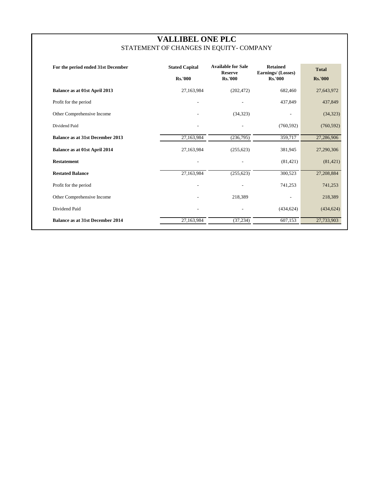# **VALLIBEL ONE PLC** STATEMENT OF CHANGES IN EQUITY- COMPANY

| For the period ended 31st December      | <b>Stated Capital</b><br><b>Rs.'000</b> | <b>Available for Sale</b><br><b>Reserve</b><br><b>Rs.'000</b> | <b>Retained</b><br>Earnings/ (Losses)<br><b>Rs.'000</b> | <b>Total</b><br><b>Rs.'000</b> |
|-----------------------------------------|-----------------------------------------|---------------------------------------------------------------|---------------------------------------------------------|--------------------------------|
| Balance as at 01st April 2013           | 27,163,984                              | (202, 472)                                                    | 682,460                                                 | 27,643,972                     |
| Profit for the period                   |                                         |                                                               | 437,849                                                 | 437,849                        |
| Other Comprehensive Income              |                                         | (34, 323)                                                     |                                                         | (34, 323)                      |
| Dividend Paid                           |                                         |                                                               | (760, 592)                                              | (760, 592)                     |
| <b>Balance as at 31st December 2013</b> | 27,163,984                              | (236,795)                                                     | 359,717                                                 | 27,286,906                     |
| Balance as at 01st April 2014           | 27,163,984                              | (255, 623)                                                    | 381,945                                                 | 27,290,306                     |
| <b>Restatement</b>                      |                                         |                                                               | (81, 421)                                               | (81, 421)                      |
| <b>Restated Balance</b>                 | 27,163,984                              | (255, 623)                                                    | 300,523                                                 | 27,208,884                     |
| Profit for the period                   |                                         |                                                               | 741,253                                                 | 741,253                        |
| Other Comprehensive Income              |                                         | 218,389                                                       |                                                         | 218,389                        |
| Dividend Paid                           |                                         |                                                               | (434, 624)                                              | (434, 624)                     |
| <b>Balance as at 31st December 2014</b> | 27,163,984                              | (37, 234)                                                     | 607,153                                                 | 27,733,903                     |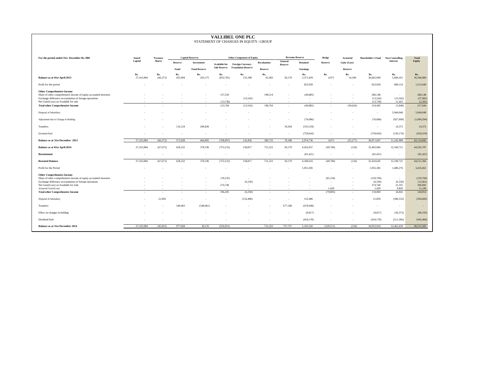#### **For the period ended 31st December Rs.'000 Stated Freasury Capital Reserves Other Component of Equity Revenue Reserve Hedge** Actuarial **Heating Capital Heating Capital Shares Capital Shares Heating Co Reserve Investment Revaluation General Available for Foreign Currency Reserve Retained Reserve Gain/ (Loss) Fund Fund Reserve Reserve Earnings Reserve Rs. Rs. Rs. Rs. Rs. Rs. Rs. Rs. Rs. Rs. Rs. Rs. Rs. Balance as at 01st April 2013** 27,163,984 (66,372) 455,904 263,175 (832,781) 155,398 81,962 50,179 3,371,929 4,971 14,349 30,662,699 5,684,101 36,346,800 Profit for the period and the state of the contract of the state of the state of the state of the state of the state of the state of the state of the state of the state of the state of the state of the state of the state o **Other Comprehensive Income** Share of other comprehensive income of equity accounted investees - - - - 137,520 - 198,514 - (49,885) - - 286,148 - 286,148 Exchange difference on translation of foreign operations - - - - - - - (13,542) - (13,542) (13,542) (13,542) (13,542) (13,542) (13,542) (27,085) - (13,736) - (13,736) - (13,736) - (13,736) - (13,736) - (13,736) - (13,736) Net Gain/(Loss) on Available for sale - - - - (13,736) - - - - - - (13,736) 11,455 (2,281) **Total other Comprehensive Income** - - - - 123,784 (13,542) 198,763 - (49,885) - (39,626) 219,492 (1,848) 217,644 Disposal of Subsidiary - - - - - - - - - - - - 5,944,048 5,944,048  $\lambda$  Adjustment due to Change in Holding  $(76,686)$   $(927,608)$   $(927,608)$   $(1,004,294)$ Transfers - - 116,124 200,830 - - 116,124 200,830 - 18,564 (335,518) - - 14,372 14,372 14,372 Dividend Paid - - - - - - - - (759,043) - - (759,043) (159,176) (918,219) **Balance as at 31st December 2013** 27,163,984 (66,372) 572,028 464,005 (708,997) 141,856 280,725 70,188 2,974,736 4,971 (25,277) 30,871,847 11,242,998 42,114,845 **Balance as at 01st April 2014** 27,163,984 (67,672) 628,232 378,196 (753,125) 158,817 721,252 50,179 4,262,037 (49,706) (126) 32,492,066 12,100,721 44,592,787 **Restatement** (81,421) - (81,421) - (81,421) - (81,421) - (81,421) - (81,421) - (81,421) - (81,421) - (81,421) **Restated Balance** 27,163,984 (67,672) 628,232 378,196 (753,125) 158,817 721,252 50,179 4,180,616 (49,706) (126) 32,410,645 12,100,721 44,511,366 - 100 minutes Profit for the Period 2002/06 1,955,385 1,480,276 1,955,385 1,480,276 3,435,661 **Other Comprehensive Income Sale Reserve Translation Reserve** STATEMENT OF CHANGES IN EQUITY- GROUP  **Stated Capital Treasury Shares Shareholder's Fund Non Controlling Interest**

**VALLIBEL ONE PLC**

 **Total Equity** 

Share of other comprehensive income of equity accounted investees - - - - (78,535) - - - - (81,234) - (159,769) - (159,769) Exchange difference on translation of foreign operations - - - - - (6,330) (12,661) (6,330) (6,330) (6,330) (6,330) (12,661) (6,330) (12,661) (6,330) (12,661) (6,330) (12,661) (12,661) (12,661) (12,661) (12,661) (12,661) (

Actuarial Gain/(Loss) - - - - - - - - - 1,429 - 1,429 9,820 11,249 **Total other Comprehensive Income** - - - - - - - - 196,205 (6,330) - - - - (79,805) - - 110,069 34,845 144,914 Disposal of Subsidiary - 21,850 - - - - (152,486 - 152,486 - - 21,850 (586,532) (564,682) Transfers - - 349,463 (348,061) - - - 677,548 (678,949) - - - - - Effect on changes in holding (56,375) (56,375) (66,193) (66,193) (66,193) (66,193) Dividend Paid - - - - - - - - (434,178) - - (434,178) (511,306) (945,484) **Balance as at 31st December 2014** 27,163,984 (45,822) 977,694 30,135 (556,921) 721,252 727,727 5,165,542 (129,511) (126) 34,053,954 12,461,629 46,515,583

Net Gain/(Loss) on Available for Sale - - - - 274,740 - - - - - - 274,740 31,355 306,095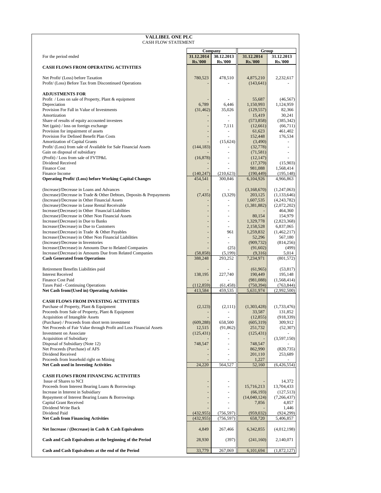| <b>VALLIBEL ONE PLC</b><br><b>CASH FLOW STATEMENT</b>                                                                   |                       |                          |                         |                             |
|-------------------------------------------------------------------------------------------------------------------------|-----------------------|--------------------------|-------------------------|-----------------------------|
|                                                                                                                         |                       |                          |                         |                             |
| For the period ended                                                                                                    | Company<br>31.12.2014 | 30.12.2013               | Group<br>31.12.2014     | 31.12.2013                  |
|                                                                                                                         | <b>Rs.'000</b>        | <b>Rs.'000</b>           | <b>Rs.'000</b>          | Rs.'000                     |
| <b>CASH FLOWS FROM OPERATING ACTIVITIES</b>                                                                             |                       |                          |                         |                             |
| Net Profit/ (Loss) before Taxation                                                                                      | 780,523               | 478,510                  | 4,875,210               | 2,232,617                   |
| Profit/ (Loss) Before Tax from Discontinued Operations                                                                  |                       |                          | (143, 641)              |                             |
| <b>ADJUSTMENTS FOR</b>                                                                                                  |                       |                          |                         |                             |
| Profit / Loss on sale of Property, Plant & equipment                                                                    |                       |                          | 55,687                  | (46, 567)                   |
| Depreciation<br>Provision For Fall in Value of Investments                                                              | 6,789<br>(31, 462)    | 6,446<br>35,026          | 1,150,993<br>(129, 557) | 1,124,959<br>82,366         |
| Amortization                                                                                                            |                       |                          | 15,419                  | 30,241                      |
| Share of results of equity accounted investees<br>Net (gain) / loss on foreign exchange                                 |                       | 7,111                    | (573, 858)<br>(12,661)  | (385, 342)<br>(66,711)      |
| Provision for impairment of assets                                                                                      |                       | $\overline{\phantom{a}}$ | 61,623                  | 461,402                     |
| Provision For Defined Benefit Plan Costs                                                                                |                       |                          | 152,448                 | 176,534                     |
| Amortization of Capital Grants<br>Profit/ (Loss) from sale of Available for Sale Financial Assets                       | (144, 183)            | (15, 624)                | (3,490)<br>(32, 778)    |                             |
| Gain on disposal of subsidiary                                                                                          |                       |                          | (71, 581)               | $\overline{\phantom{a}}$    |
| (Profit) / Loss from sale of FVTP&L                                                                                     | (16, 878)             |                          | (12, 147)               |                             |
| Dividend Received<br><b>Finance Cost</b>                                                                                |                       |                          | (17, 379)<br>981,088    | (15,903)<br>1,568,414       |
| Finance Income                                                                                                          | (140, 247)            | (210, 623)               | (190, 449)              | (195, 148)                  |
| <b>Operating Profit/ (Loss) before Working Capital Changes</b>                                                          | 454,541               | 300,846                  | 6,104,926               | 4,966,863                   |
| (Increase)/Decrease in Loans and Advances                                                                               |                       |                          | (3,168,670)             | (1,247,063)                 |
| (Increase)/Decrease in Trade & Other Debtors, Deposits & Prepayments                                                    | (7, 435)              | (3,329)                  | 203,125                 | (1, 133, 646)               |
| (Increase)/Decrease in Other Financial Assets<br>(Increase)/Decrease in Lease Rental Receivable                         |                       |                          | 1,607,535               | (4,243,782)                 |
| Increase/(Decrease) in Other Financial Liabilities                                                                      |                       |                          | (1,381,882)             | (2,072,202)<br>464,360      |
| (Increase)/Decrease in Other Non Financial Assets                                                                       |                       |                          | 80,154                  | 154,979                     |
| Increase/(Decrease) in Due to Banks<br>Increase/(Decrease) in Due to Customers                                          |                       | $\overline{\phantom{a}}$ | 1,329,778<br>2,158,528  | (2,823,368)<br>6,837,065    |
| Increase/(Decrease) in Trade & Other Payables                                                                           |                       | 961                      | 1,259,832               | (1,462,217)                 |
| Increase/(Decrease) in Other Non Financial Liabilities                                                                  |                       |                          | 52,296                  | 567,180                     |
| (Increase)/Decrease in Inventories<br>Increase/(Decrease) in Amounts Due to Related Companies                           |                       | (25)                     | (909, 732)<br>(91,602)  | (814, 256)<br>(499)         |
| Increase/(Decrease) in Amounts Due from Related Companies                                                               | (58, 858)             | (5,199)                  | (9,316)                 | 5,014                       |
| <b>Cash Generated from Operations</b>                                                                                   | 388,248               | 293,252                  | 7,234,971               | (801, 572)                  |
| Retirement Benefits Liabilities paid                                                                                    |                       |                          | (61, 965)               | (53, 817)                   |
| <b>Interest Received</b>                                                                                                | 138,195               | 227,740                  | 190,449                 | 195,148                     |
| <b>Finance Cost Paid</b>                                                                                                |                       |                          | (981,088)<br>(750, 394) | (1, 568, 414)<br>(763, 844) |
| Taxes Paid - Continuing Operations<br><b>Net Cash from/(Used in) Operating Activities</b>                               | (112, 859)<br>413,584 | (61, 458)<br>459,535     | 5,631,974               | (2,992,500)                 |
|                                                                                                                         |                       |                          |                         |                             |
| <b>CASH FLOWS FROM INVESTING ACTIVITIES</b><br>Purchase of Property, Plant & Equipment                                  | (2,123)               | (2,111)                  | (1,303,428)             | (1,733,476)                 |
| Proceeds from Sale of Property, Plant & Equipment                                                                       |                       |                          | 33,587                  | 131,852                     |
| <b>Acquisition of Intangible Assets</b>                                                                                 |                       |                          | (12, 855)               | (918, 339)                  |
| (Purchase) / Proceeds from short term investment<br>Net Proceeds of Fair Value through Profit and Loss Financial Assets | (609, 288)<br>12,515  | 658,500<br>(91, 862)     | (605, 319)<br>251,732   | 309,912<br>(52, 307)        |
| Investment on Associate                                                                                                 | (125, 431)            |                          | (125, 431)              |                             |
| Acquisition of Subsidiary                                                                                               |                       |                          |                         | (3,597,150)                 |
| Disposal of Subsidiary (Note 12)<br>Net Proceeds (Purchase) of AFS                                                      | 748,547               |                          | 748,547<br>862,990      | (820, 735)                  |
| Dividend Received                                                                                                       |                       |                          | 201,110                 | 253,689                     |
| Proceeds from leasehold right on Mining<br><b>Net Cash used in Investing Activities</b>                                 |                       | 564,527                  | 1,227                   |                             |
|                                                                                                                         | 24,220                |                          | 52,160                  | (6,426,554)                 |
| <b>CASH FLOWS FROM FINANCING ACTIVITIES</b>                                                                             |                       |                          |                         |                             |
| Issue of Shares to NCI<br>Proceeds from Interest Bearing Loans & Borrowings                                             |                       |                          | 15,716,213              | 14,372<br>13,704,433        |
| Increase in Interest in Subsidiary                                                                                      |                       |                          | (66, 193)               | (127,513)                   |
| Repayment of Interest Bearing Loans & Borrowings                                                                        |                       | $\overline{\phantom{a}}$ | (14,040,124)            | (7,266,437)                 |
| Capital Grant Received<br>Dividend Write Back                                                                           |                       | $\overline{\phantom{a}}$ | 7,856                   | 4,857<br>1,446              |
| Dividend Paid                                                                                                           | (432, 955)            | (756, 597)               | (959, 032)              | (924, 299)                  |
| <b>Net Cash from Financing Activities</b>                                                                               | (432, 955)            | (756, 597)               | 658,720                 | 5,406,857                   |
| Net Increase / (Decrease) in Cash & Cash Equivalents                                                                    | 4,849                 | 267,466                  | 6,342,855               | (4,012,198)                 |
| Cash and Cash Equivalents at the beginning of the Period                                                                | 28,930                | (397)                    | (241, 160)              | 2,140,071                   |
| Cash and Cash Equivalents at the end of the Period                                                                      | 33,779                | 267,069                  | 6,101,694               | (1,872,127)                 |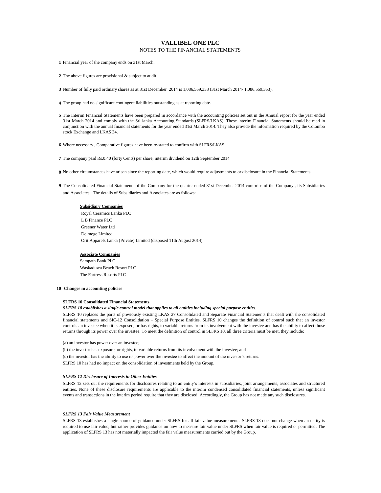# **VALLIBEL ONE PLC** NOTES TO THE FINANCIAL STATEMENTS

**1** Financial year of the company ends on 31st March.

**2** The above figures are provisional & subject to audit.

**3** Number of fully paid ordinary shares as at 31st December 2014 is 1,086,559,353 (31st March 2014- 1,086,559,353).

- **4** The group had no significant contingent liabilities outstanding as at reporting date.
- **5** The Interim Financial Statements have been prepared in accordance with the accounting policies set out in the Annual report for the year ended 31st March 2014 and comply with the Sri lanka Accounting Standards (SLFRS/LKAS). These interim Financial Statements should be read in conjunction with the annual financial statements for the year ended 31st March 2014. They also provide the information required by the Colombo stock Exchange and LKAS 34.

**6** Where necessary , Comparative figures have been re-stated to confirm with SLFRS/LKAS

**7** The company paid Rs.0.40 (forty Cents) per share, interim dividend on 12th September 2014

- 8 No other circumstances have arisen since the reporting date, which would require adjustments to or disclosure in the Financial Statements.
- **9** The Consolidated Financial Statements of the Company for the quarter ended 31st December 2014 comprise of the Company , its Subsidiaries and Associates. The details of Subsidiaries and Associates are as follows:

#### **Subsidiary Companies**

 Royal Ceramics Lanka PLC L B Finance PLC Greener Water Ltd Delmege Limited Orit Apparels Lanka (Private) Limited (disposed 11th August 2014)

#### **Associate Companies**

Sampath Bank PLC Waskaduwa Beach Resort PLC The Fortress Resorts PLC

# **10 Changes in accounting policies**

#### **SLFRS 10 Consolidated Financial Statements**

# *SLFRS 10 establishes a single control model that applies to all entities including special purpose entities.*

SLFRS 10 replaces the parts of previously existing LKAS 27 Consolidated and Separate Financial Statements that dealt with the consolidated financial statements and SIC-12 Consolidation – Special Purpose Entities. SLFRS 10 changes the definition of control such that an investor controls an investee when it is exposed, or has rights, to variable returns from its involvement with the investee and has the ability to affect those returns through its power over the investee. To meet the definition of control in SLFRS 10, all three criteria must be met, they include:

(a) an investor has power over an investee;

(b) the investor has exposure, or rights, to variable returns from its involvement with the investee; and (c) the investor has the ability to use its power over the investee to affect the amount of the investor's returns. SLFRS 10 has had no impact on the consolidation of investments held by the Group.

#### *SLFRS 12 Disclosure of Interests in Other Entities*

SLFRS 12 sets out the requirements for disclosures relating to an entity's interests in subsidiaries, joint arrangements, associates and structured entities. None of these disclosure requirements are applicable to the interim condensed consolidated financial statements, unless significant events and transactions in the interim period require that they are disclosed. Accordingly, the Group has not made any such disclosures.

#### *SLFRS 13 Fair Value Measurement*

SLFRS 13 establishes a single source of guidance under SLFRS for all fair value measurements. SLFRS 13 does not change when an entity is required to use fair value, but rather provides guidance on how to measure fair value under SLFRS when fair value is required or permitted. The application of SLFRS 13 has not materially impacted the fair value measurements carried out by the Group.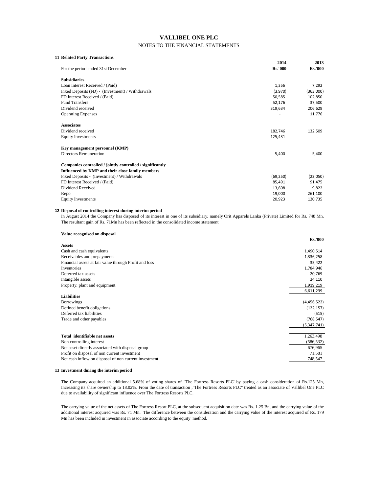# **VALLIBEL ONE PLC** NOTES TO THE FINANCIAL STATEMENTS

| <b>11 Related Party Transactions</b>                      |                |                |
|-----------------------------------------------------------|----------------|----------------|
|                                                           | 2014           | 2013           |
| For the period ended 31st December                        | <b>Rs.'000</b> | <b>Rs.'000</b> |
| <b>Subsidiaries</b>                                       |                |                |
| Loan Interest Received / (Paid)                           | 1,356          | 7,292          |
| Fixed Deposits (FD) - (Investment) / Withdrawals          | (3,970)        | (363,000)      |
| FD Interest Received / (Paid)                             | 50,585         | 102,850        |
| <b>Fund Transfers</b>                                     | 52,176         | 37,500         |
| Dividend received                                         | 319,634        | 206,629        |
| <b>Operating Expenses</b>                                 | $\overline{a}$ | 11,776         |
| <b>Associates</b>                                         |                |                |
| Dividend received                                         | 182,746        | 132,509        |
| <b>Equity Investments</b>                                 | 125,431        |                |
| Key management personnel (KMP)                            |                |                |
| Directors Remuneration                                    | 5,400          | 5,400          |
| Companies controlled / jointly controlled / significantly |                |                |
| Influenced by KMP and their close family members          |                |                |
| Fixed Deposits - (Investment) / Withdrawals               | (69, 250)      | (22,050)       |
| FD Interest Received / (Paid)                             | 85,491         | 91,475         |
| Dividend Received                                         | 13,608         | 9,822          |
| Repo                                                      | 19,000         | 261,100        |
| <b>Equity Investments</b>                                 | 20,923         | 120.735        |

#### **12 Disposal of controlling interest during interim period**

In August 2014 the Company has disposed of its interest in one of its subsidiary, namely Orit Apparels Lanka (Private) Limited for Rs. 748 Mn. The resultant gain of Rs. 71Mn has been reflected in the consolidated income statement

| Value recognised on disposal                           |                |
|--------------------------------------------------------|----------------|
|                                                        | <b>Rs.'000</b> |
| <b>Assets</b>                                          |                |
| Cash and cash equivalents                              | 1,490,514      |
| Receivables and prepayments                            | 1,336,258      |
| Financial assets at fair value through Profit and loss | 35,422         |
| Inventories                                            | 1,784,946      |
| Deferred tax assets                                    | 20,769         |
| Intangible assets                                      | 24,110         |
| Property, plant and equipment                          | 1,919,219      |
|                                                        | 6,611,239      |
| <b>Liabilities</b>                                     |                |
| <b>Borrowings</b>                                      | (4,456,522)    |
| Defined benefit obligations                            | (122, 157)     |
| Deferred tax liabilities                               | (515)          |
| Trade and other payables                               | (768, 547)     |
|                                                        | (5,347,741)    |
| Total identifiable net assets                          | 1,263,498      |
| Non controlling interest                               | (586, 532)     |
| Net asset directly associated with disposal group      | 676,965        |
| Profit on disposal of non current investment           | 71,581         |
| Net cash inflow on disposal of non current investment  | 748,547        |
|                                                        |                |

# **13 Investment during the interim period**

The Company acquired an additional 5.68% of voting shares of "The Fortress Resorts PLC' by paying a cash consideration of Rs.125 Mn, Increasing its share ownership to 18.02%. From the date of transaction ,"The Fortress Resorts PLC" treated as an associate of Vallibel One PLC due to availability of significant influence over The Fortress Resorts PLC.

The carrying value of the net assets of The Fortress Resort PLC, at the subsequent acquisition date was Rs. 1.25 Bn, and the carrying value of the additional interest acquired was Rs. 71 Mn. The difference between the consideration and the carrying value of the interest acquired of Rs. 179 Mn has been included in investment in associate according to the equity method.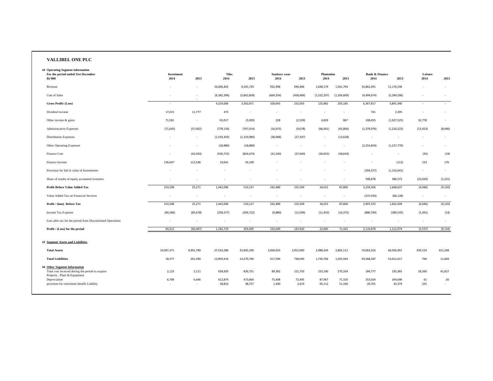# **VALLIBEL ONE PLC**

| <b>14 Operating Segment information</b><br>For the period ended 31st December<br><b>Rs'000</b>                         | Investment<br>2014 | 2013      | <b>Tiles</b><br>2014 | 2013              | Sanitary wear<br>2014 | 2013            | <b>Plantation</b><br>2014 | 2013             | <b>Bank &amp; Finance</b><br>2014 | 2013              | Leisure<br>2014 | 2013         |
|------------------------------------------------------------------------------------------------------------------------|--------------------|-----------|----------------------|-------------------|-----------------------|-----------------|---------------------------|------------------|-----------------------------------|-------------------|-----------------|--------------|
| Revenue                                                                                                                |                    | ٠         | 10,606,402           | 9,205,729         | 932,998               | 690,486         | 1,648,179                 | 1,561,794        | 10,862,491                        | 11,176,536        |                 |              |
| Cost of Sales                                                                                                          |                    | $\sim$    | (6, 382, 396)        | (5,842,858)       | (604, 354)            | (458, 484)      | (1,522,297)               | (1,356,609)      | (4,494,674)                       | (5,284,596)       |                 | $\sim$       |
| Gross Profit/ (Loss)                                                                                                   | $\sim$             |           | 4,224,006            | 3,362,871         | 328,643               | 232,003         | 125,882                   | 205,185          | 6,367,817                         | 5,891,940         | $\sim$          |              |
| Dividend income                                                                                                        | 17,015             | 11,777    | 473                  | $\sim$            |                       | $\sim$          |                           | $\sim$           | 741                               | 2,395             | $\sim$          |              |
| Other income & gains                                                                                                   | 71,581             | $\sim$    | 65,017               | (5,905)           | 228                   | (2,509)         | 4,829                     | 867              | 108,455                           | (1,027,525)       | 32,778          |              |
| <b>Administrative Expenses</b>                                                                                         | (71, 645)          | (57,002)  | (778, 134)           | (707, 414)        | (16,975)              | (9,078)         | (66, 041)                 | (65,806)         | (1,379,976)                       | (1,224,223)       | (13,923)        | (8,046)      |
| <b>Distribution Expenses</b>                                                                                           | $\sim$             | $\sim$    | (1,539,303)          | (1,319,980)       | (38,068)              | (27, 307)       | $\sim$                    | (13, 628)        | $\sim$                            | $\sim$            | $\sim$          | $\sim$       |
| Other Operating Expenses                                                                                               |                    | $\sim$    | (18, 880)            | (18, 880)         | $\sim$                | ×.              |                           | $\sim$           | (2, 254, 854)                     | (1,227,770)       |                 |              |
| <b>Finance Cost</b>                                                                                                    | $\sim$             | (42,050)  | (530, 725)           | (826, 674)        | (31, 340)             | (37,600)        | (30, 655)                 | (38, 818)        | $\sim$                            | $\sim$            | (35)            | (19)         |
| Finance Income                                                                                                         | 136,647            | 112,546   | 19,641               | 26,109            |                       |                 |                           | ٠                | $\sim$                            | (112)             | 153             | 176          |
| Provision for fall in value of Investments                                                                             |                    |           |                      |                   |                       |                 |                           |                  | (204, 557)                        | (1, 132, 641)     |                 | $\sim$       |
| Share of results of equity accounted investees                                                                         |                    |           |                      |                   |                       |                 |                           |                  | 596,878                           | 386,573           | (23,020)        | (1, 231)     |
| Profit Before Value Added Tax                                                                                          | 153,598            | 25,271    | 1,442,096            | 510,127           | 242,489               | 155,509         | 34,015                    | 87,800           | 3,234,506                         | 1,668,637         | (4,046)         | (9, 120)     |
| Value Added Tax on Financial Services                                                                                  | $\sim$             | $\sim$    | $\sim$               | $\sim$            | $\sim$                | $\sim$          | $\sim$                    | $\sim$           | (237, 034)                        | (66, 128)         | $\sim$          | $\sim$       |
| Profit / (loos) Before Tax                                                                                             | 153,598            | 25,271    | 1,442,096            | 510,127           | 242,489               | 155,509         | 34,015                    | 87,800           | 2,997,472                         | 1,602,509         | (4,046)         | (9, 120)     |
| Income Tax Expense                                                                                                     | (84, 286)          | (85, 678) | (258, 377)           | (206, 722)        | (9,880)               | (12, 589)       | (11, 410)                 | (16, 375)        | (886, 794)                        | (389, 535)        | (1,491)         | (14)         |
| Loss after tax for the period from Discontinued Operations                                                             | $\sim$             | $\sim$    | $\sim$               | $\sim$            | ٠                     | ÷.              |                           | ×.               | ٠                                 | $\sim$            | $\sim$          |              |
| Profit / (Loss) for the period                                                                                         | 69,312             | (60, 407) | 1,183,719            | 303,405           | 232,609               | 142,920         | 22,605                    | 71,425           | 2,110,678                         | 1,212,974         | (5, 537)        | (9, 134)     |
| <b>15 Segment Assets and Liabilities</b>                                                                               |                    |           |                      |                   |                       |                 |                           |                  |                                   |                   |                 |              |
| <b>Total Assets</b>                                                                                                    | 10,097,371         | 9,491,789 | 27,543,286           | 25,842,190        | 3,004,033             | 2,952,083       | 2,988,244                 | 2,802,112        | 74,062,016                        | 66,056,901        | 439,154         | 421,248      |
| <b>Total Liabilities</b>                                                                                               | 18,377             | 261,390   | 13,859,316           | 14,270,700        | 417,594               | 738,040         | 1,730,766                 | 1,565,564        | 59,368,287                        | 53,612,617        | 766             | 11,669       |
| <b>16 Other Segment Information</b><br>Total cost incurred during the period to acquire<br>Property, Plant & Equipment | 2,123              | 2,111     | 638,920              | 826,751           | 89,382                | 121,703         | 233,160                   | 270,104          | 184,777                           | 235,365           | 26,560          | 41,627       |
| Depreciation<br>provision for retirement benefit Liability                                                             | 6,789              | 6,446     | 612,874<br>38,816    | 473,064<br>38,727 | 75,408<br>1,440       | 72,495<br>2,419 | 87,967<br>65,112          | 71,320<br>51,160 | 253,024<br>29,701                 | 244,696<br>32,374 | 61<br>225       | 20<br>$\sim$ |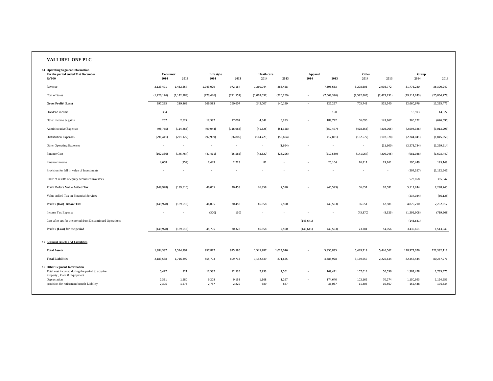| <b>VALLIBEL ONE PLC</b>                                                                   |                          |                |                    |                          |                           |                          |                          |                          |                   |                  |                      |                      |
|-------------------------------------------------------------------------------------------|--------------------------|----------------|--------------------|--------------------------|---------------------------|--------------------------|--------------------------|--------------------------|-------------------|------------------|----------------------|----------------------|
| <b>14 Operating Segment information</b>                                                   |                          |                |                    |                          |                           |                          |                          |                          |                   |                  |                      |                      |
| For the period ended 31st December<br><b>Rs'000</b>                                       | Consumer<br>2014         | 2013           | Life style<br>2014 | 2013                     | <b>Heath care</b><br>2014 | 2013                     | Apparel<br>2014          | 2013                     | Other<br>2014     | 2013             | Group<br>2014        | 2013                 |
| Revenue                                                                                   | 2,123,471                | 1,432,657      | 1,043,029          | 972,164                  | 1,260,044                 | 866,458                  | ٠                        | 7,395,653                | 3,298,606         | 2,998,772        | 31,775,220           | 36,300,249           |
| <b>Cost of Sales</b>                                                                      | (1,726,176)              | (1, 142, 788)  | (773, 446)         | (711, 557)               | (1,018,037)               | (726, 259)               | $\sim$                   | (7,068,396)              | (2,592,863)       | (2,473,231)      | (19, 114, 243)       | (25,064,778)         |
| Gross Profit/(Loss)                                                                       | 397,295                  | 289,869        | 269,583            | 260,607                  | 242,007                   | 140,199                  | ×                        | 327,257                  | 705,743           | 525,540          | 12,660,976           | 11,235,472           |
| Dividend income                                                                           | 364                      | $\sim$         | $\sim$             | $\sim$                   | $\sim$                    | $\sim$                   | $\sim$                   | 150                      | $\sim$            | $\sim$           | 18,593               | 14,322               |
| Other income & gains                                                                      | 257                      | 2,527          | 12,387             | 17,007                   | 4,542                     | 5,283                    | ٠                        | 189,792                  | 66,096            | 143,867          | 366,172              | (676, 596)           |
| Administrative Expenses                                                                   | (98, 765)                | (114, 866)     | (99,044)           | (116,988)                | (41, 528)                 | (51, 328)                |                          | (350, 477)               | (428, 355)        | (308,065)        | (2,994,386)          | (3,013,293)          |
| <b>Distribution Expenses</b>                                                              | (291, 411)               | (221, 122)     | (97, 959)          | (86, 805)                | (114, 723)                | (56, 604)                | $\sim$                   | (12, 831)                | (162, 577)        | (107, 378)       | (2, 244, 041)        | (1,845,655)          |
| Other Operating Expenses                                                                  | $\sim$                   | $\sim$         | $\sim$             | $\sim$                   | $\sim$                    | (1,664)                  | ä,                       | $\sim$                   | $\sim$            | (11,600)         | (2, 273, 734)        | (1,259,914)          |
| Finance Cost                                                                              | (162, 336)               | (145, 764)     | (41, 411)          | (55, 585)                | (43,520)                  | (28, 296)                | $\sim$                   | (219, 589)               | (141,067)         | (209, 045)       | (981, 088)           | (1,603,440)          |
| Finance Income                                                                            | 4,668                    | (159)          | 2,449              | 2,223                    | 81                        | $\overline{\phantom{a}}$ | ٠                        | 25,104                   | 26,811            | 29,261           | 190,449              | 195,148              |
| Provision for fall in value of Investments                                                | $\sim$                   |                | ÷.                 |                          |                           |                          |                          |                          |                   | $\sim$           | (204, 557)           | (1, 132, 641)        |
| Share of results of equity accounted investees                                            |                          |                | $\sim$             | $\overline{\phantom{a}}$ | ÷.                        |                          |                          | $\sim$                   | ٠                 | $\sim$           | 573,858              | 385,342              |
| <b>Profit Before Value Added Tax</b>                                                      | (149, 928)               | (189, 516)     | 46,005             | 20,458                   | 46,858                    | 7,590                    | $\sim$                   | (40, 593)                | 66,651            | 62,581           | 5,112,244            | 2,298,745            |
| Value Added Tax on Financial Services                                                     | $\overline{\phantom{a}}$ |                | ٠                  | $\overline{\phantom{a}}$ | ×                         | $\sim$                   |                          | $\sim$                   | $\sim$            | ×                | (237, 034)           | (66, 128)            |
| Profit / (loos) Before Tax                                                                | (149, 928)               | (189, 516)     | 46,005             | 20,458                   | 46,858                    | 7,590                    | $\sim$                   | (40, 593)                | 66,651            | 62,581           | 4,875,210            | 2,232,617            |
| Income Tax Expense                                                                        |                          | $\sim$         | (300)              | (130)                    | ×                         | $\sim$                   | $\overline{\phantom{a}}$ | $\overline{\phantom{a}}$ | (43, 370)         | (8, 525)         | (1, 295, 908)        | (719, 568)           |
| Loss after tax for the period from Discontinued Operations                                | $\sim$                   | ч.             | $\sim$             | $\overline{\phantom{a}}$ | ÷.                        | $\sim$                   | (143, 641)               | ٠                        | $\sim$            | $\sim$           | (143, 641)           | $\sim$               |
| Profit / (Loss) for the period                                                            | (149.928)                | (189.516)      | 45,705             | 20.328                   | 46.858                    | 7.590                    | (143, 641)               | (40, 593)                | 23.281            | 54.056           | 3,435,661            | 1,513,049            |
| <b>15 Segment Assets and Liabilities</b>                                                  |                          |                |                    |                          |                           |                          |                          |                          |                   |                  |                      |                      |
| <b>Total Assets</b>                                                                       |                          |                |                    |                          |                           |                          | ٠                        |                          |                   |                  |                      |                      |
|                                                                                           | 1,884,387                | 1,514,792      | 957,827            | 975,586                  | 1,545,987                 | 1,023,016                |                          | 5,855,835                | 6,449,719         | 5,446,562        | 128,972,026          | 122,382,117          |
| <b>Total Liabilities</b>                                                                  | 2,183,538                | 1,716,392      | 555,703            | 609,713                  | 1,152,439                 | 871,625                  | $\sim$                   | 4,388,928                | 3,169,657         | 2,220,634        | 82,456,444           | 80,267,271           |
| 16 Other Segment Information<br>Total cost incurred during the period to acquire          | 5,427                    | 821            | 12,532             | 12,535                   | 2,933                     | 2,501                    | $\sim$                   | 169,421                  | 107,614           | 50,536           | 1,303,428            | 1,733,476            |
| Property, Plant & Equipment<br>Depreciation<br>provision for retirement benefit Liability | 2,331<br>2,305           | 1,580<br>1,575 | 9,208<br>2,757     | 9,158<br>2,829           | 1,168<br>689              | 1,267<br>847             |                          | 174,640<br>36,037        | 102,162<br>11,403 | 70,274<br>10,567 | 1,150,993<br>152,448 | 1,124,959<br>176,534 |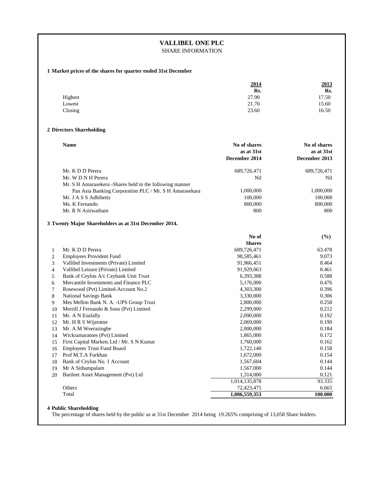# **VALLIBEL ONE PLC** SHARE INFORMATION

# **1 Market prices of the shares for quarter ended 31st December**

|       | 2013  |
|-------|-------|
| Rs.   | Rs.   |
| 27.90 | 17.50 |
| 21.70 | 15.60 |
| 23.60 | 16.50 |
|       | 2014  |

# **2 Directors Shareholding**

| <b>Name</b>                                               | No of shares<br>as at 31st | No of shares<br>as at 31st |
|-----------------------------------------------------------|----------------------------|----------------------------|
|                                                           | December 2014              | December 2013              |
| Mr. K D D Perera                                          | 689,726,471                | 689,726,471                |
| Mr. W D N H Perera                                        | Nil                        | Nil                        |
| Mr. S H Amarasekera - Shares held in the following manner |                            |                            |
| Pan Asia Banking Corporation PLC / Mr. S H Amarasekara    | 1,000,000                  | 1,000,000                  |
| Mr. J A S S Adhihetty                                     | 100,000                    | 100,000                    |
| Ms. K Fernando                                            | 800,000                    | 800,000                    |
| Mr. R N Asirwatham                                        | 800                        | 800                        |

#### **3 Twenty Major Shareholders as at 31st December 2014.**

|    |                                           | No of         | (%)     |
|----|-------------------------------------------|---------------|---------|
|    |                                           | <b>Shares</b> |         |
| 1  | Mr. K D D Perera                          | 689,726,471   | 63.478  |
| 2  | <b>Employees Provident Fund</b>           | 98,585,461    | 9.073   |
| 3  | Vallibel Investments (Private) Limited    | 91,966,451    | 8.464   |
| 4  | Vallibel Leisure (Private) Limited        | 91,929,063    | 8.461   |
| 5  | Bank of Ceylon A/c Ceybank Unit Trust     | 6,393,388     | 0.588   |
| 6  | Mercantile Investments and Finance PLC    | 5,176,000     | 0.476   |
| 7  | Rosewood (Pvt) Limited-Account No.2       | 4,303,300     | 0.396   |
| 8  | National Savings Bank                     | 3,330,000     | 0.306   |
| 9  | Mes Mellon Bank N. A. - UPS Group Trust   | 2,800,000     | 0.258   |
| 10 | Merrill J Fernando & Sons (Pvt) Limited   | 2,299,000     | 0.212   |
| 11 | Mr. A N Esufally                          | 2,090,000     | 0.192   |
| 12 | Mr. H R S Wijeratne                       | 2,069,000     | 0.190   |
| 13 | Mr. A M Weerasinghe                       | 2,000,000     | 0.184   |
| 14 | Wickramaratnes (Pvt) Limited              | 1,865,000     | 0.172   |
| 15 | First Capital Markets Ltd / Mr. S N Kumar | 1,760,000     | 0.162   |
| 16 | <b>Employees Trust Fund Board</b>         | 1,722,140     | 0.158   |
| 17 | Prof M.T.A Furkhan                        | 1,672,000     | 0.154   |
| 18 | Bank of Ceylon No. 1 Account              | 1,567,604     | 0.144   |
| 19 | Mr A Sithampalam                          | 1,567,000     | 0.144   |
| 20 | Bartleet Asset Management (Pvt) Ltd       | 1,314,000     | 0.121   |
|    |                                           | 1,014,135,878 | 93.335  |
|    | Others                                    | 72,423,475    | 6.665   |
|    | Total                                     | 1,086,559,353 | 100.000 |

#### **4 Public Shareholding**

The percentage of shares held by the public as at 31st December 2014 being 19.265% comprising of 13,058 Share holders.